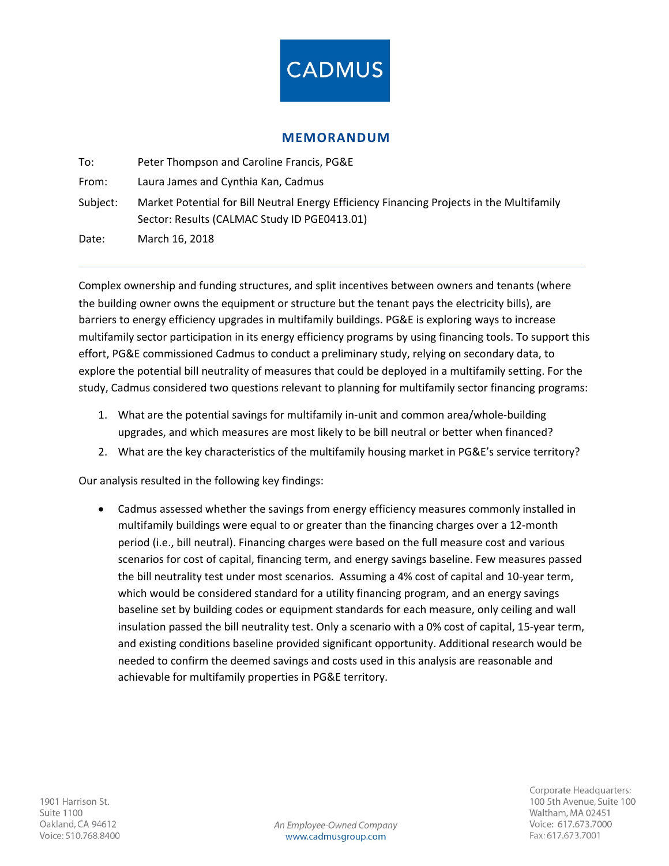

#### **MEMORANDUM**

To: Peter Thompson and Caroline Francis, PG&E From: Laura James and Cynthia Kan, Cadmus Subject: Market Potential for Bill Neutral Energy Efficiency Financing Projects in the Multifamily Sector: Results (CALMAC Study ID PGE0413.01) Date: March 16, 2018

Complex ownership and funding structures, and split incentives between owners and tenants (where the building owner owns the equipment or structure but the tenant pays the electricity bills), are barriers to energy efficiency upgrades in multifamily buildings. PG&E is exploring ways to increase multifamily sector participation in its energy efficiency programs by using financing tools. To support this effort, PG&E commissioned Cadmus to conduct a preliminary study, relying on secondary data, to explore the potential bill neutrality of measures that could be deployed in a multifamily setting. For the study, Cadmus considered two questions relevant to planning for multifamily sector financing programs:

- 1. What are the potential savings for multifamily in-unit and common area/whole-building upgrades, and which measures are most likely to be bill neutral or better when financed?
- 2. What are the key characteristics of the multifamily housing market in PG&E's service territory?

Our analysis resulted in the following key findings:

• Cadmus assessed whether the savings from energy efficiency measures commonly installed in multifamily buildings were equal to or greater than the financing charges over a 12-month period (i.e., bill neutral). Financing charges were based on the full measure cost and various scenarios for cost of capital, financing term, and energy savings baseline. Few measures passed the bill neutrality test under most scenarios. Assuming a 4% cost of capital and 10-year term, which would be considered standard for a utility financing program, and an energy savings baseline set by building codes or equipment standards for each measure, only ceiling and wall insulation passed the bill neutrality test. Only a scenario with a 0% cost of capital, 15-year term, and existing conditions baseline provided significant opportunity. Additional research would be needed to confirm the deemed savings and costs used in this analysis are reasonable and achievable for multifamily properties in PG&E territory.

An Employee-Owned Company www.cadmusgroup.com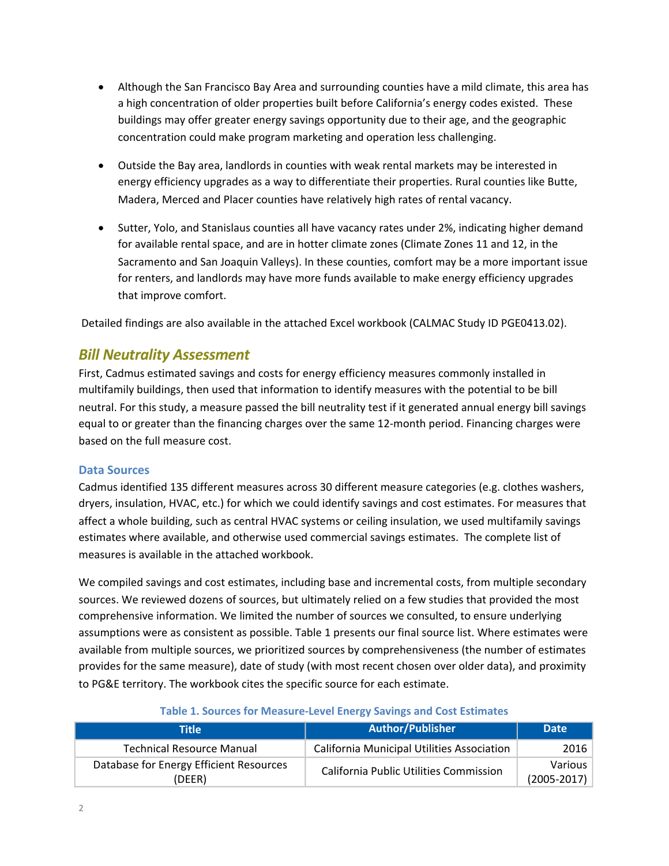- Although the San Francisco Bay Area and surrounding counties have a mild climate, this area has a high concentration of older properties built before California's energy codes existed. These buildings may offer greater energy savings opportunity due to their age, and the geographic concentration could make program marketing and operation less challenging.
- Outside the Bay area, landlords in counties with weak rental markets may be interested in energy efficiency upgrades as a way to differentiate their properties. Rural counties like Butte, Madera, Merced and Placer counties have relatively high rates of rental vacancy.
- Sutter, Yolo, and Stanislaus counties all have vacancy rates under 2%, indicating higher demand for available rental space, and are in hotter climate zones (Climate Zones 11 and 12, in the Sacramento and San Joaquin Valleys). In these counties, comfort may be a more important issue for renters, and landlords may have more funds available to make energy efficiency upgrades that improve comfort.

Detailed findings are also available in the attached Excel workbook (CALMAC Study ID PGE0413.02).

# *Bill Neutrality Assessment*

First, Cadmus estimated savings and costs for energy efficiency measures commonly installed in multifamily buildings, then used that information to identify measures with the potential to be bill neutral. For this study, a measure passed the bill neutrality test if it generated annual energy bill savings equal to or greater than the financing charges over the same 12-month period. Financing charges were based on the full measure cost.

#### **Data Sources**

Cadmus identified 135 different measures across 30 different measure categories (e.g. clothes washers, dryers, insulation, HVAC, etc.) for which we could identify savings and cost estimates. For measures that affect a whole building, such as central HVAC systems or ceiling insulation, we used multifamily savings estimates where available, and otherwise used commercial savings estimates. The complete list of measures is available in the attached workbook.

We compiled savings and cost estimates, including base and incremental costs, from multiple secondary sources. We reviewed dozens of sources, but ultimately relied on a few studies that provided the most comprehensive information. We limited the number of sources we consulted, to ensure underlying assumptions were as consistent as possible. Table 1 presents our final source list. Where estimates were available from multiple sources, we prioritized sources by comprehensiveness (the number of estimates provides for the same measure), date of study (with most recent chosen over older data), and proximity to PG&E territory. The workbook cites the specific source for each estimate.

| Title                                             | <b>Author/Publisher</b>                           | <b>Date</b>                  |  |
|---------------------------------------------------|---------------------------------------------------|------------------------------|--|
| <b>Technical Resource Manual</b>                  | <b>California Municipal Utilities Association</b> | 2016                         |  |
| Database for Energy Efficient Resources<br>(DEER) | California Public Utilities Commission            | Various  <br>$(2005 - 2017)$ |  |

#### **Table 1. Sources for Measure-Level Energy Savings and Cost Estimates**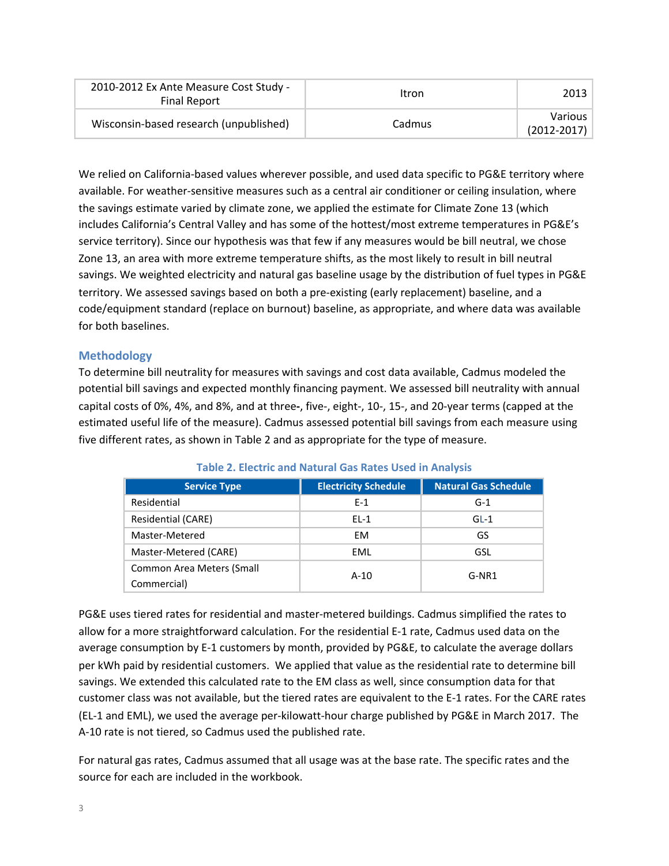| 2010-2012 Ex Ante Measure Cost Study -<br><b>Final Report</b> | Itron  | 2013                              |
|---------------------------------------------------------------|--------|-----------------------------------|
| Wisconsin-based research (unpublished)                        | Cadmus | <b>Various</b><br>$(2012 - 2017)$ |

We relied on California-based values wherever possible, and used data specific to PG&E territory where available. For weather-sensitive measures such as a central air conditioner or ceiling insulation, where the savings estimate varied by climate zone, we applied the estimate for Climate Zone 13 (which includes California's Central Valley and has some of the hottest/most extreme temperatures in PG&E's service territory). Since our hypothesis was that few if any measures would be bill neutral, we chose Zone 13, an area with more extreme temperature shifts, as the most likely to result in bill neutral savings. We weighted electricity and natural gas baseline usage by the distribution of fuel types in PG&E territory. We assessed savings based on both a pre-existing (early replacement) baseline, and a code/equipment standard (replace on burnout) baseline, as appropriate, and where data was available for both baselines.

## **Methodology**

To determine bill neutrality for measures with savings and cost data available, Cadmus modeled the potential bill savings and expected monthly financing payment. We assessed bill neutrality with annual capital costs of 0%, 4%, and 8%, and at three-, five-, eight-, 10-, 15-, and 20-year terms (capped at the estimated useful life of the measure). Cadmus assessed potential bill savings from each measure using five different rates, as shown in Table 2 and as appropriate for the type of measure.

| <b>Service Type</b>                             | <b>Electricity Schedule</b> | <b>Natural Gas Schedule</b> |
|-------------------------------------------------|-----------------------------|-----------------------------|
| Residential                                     | $F-1$                       | $G-1$                       |
| Residential (CARE)                              | $EL-1$                      | $GL-1$                      |
| Master-Metered                                  | EM.                         | GS                          |
| Master-Metered (CARE)                           | EML                         | GSL                         |
| <b>Common Area Meters (Small</b><br>Commercial) | $A-10$                      | $G-NR1$                     |

**Table 2. Electric and Natural Gas Rates Used in Analysis** 

PG&E uses tiered rates for residential and master-metered buildings. Cadmus simplified the rates to allow for a more straightforward calculation. For the residential E-1 rate, Cadmus used data on the average consumption by E-1 customers by month, provided by PG&E, to calculate the average dollars per kWh paid by residential customers. We applied that value as the residential rate to determine bill savings. We extended this calculated rate to the EM class as well, since consumption data for that customer class was not available, but the tiered rates are equivalent to the E-1 rates. For the CARE rates (EL-1 and EML), we used the average per-kilowatt-hour charge published by PG&E in March 2017. The A-10 rate is not tiered, so Cadmus used the published rate.

For natural gas rates, Cadmus assumed that all usage was at the base rate. The specific rates and the source for each are included in the workbook.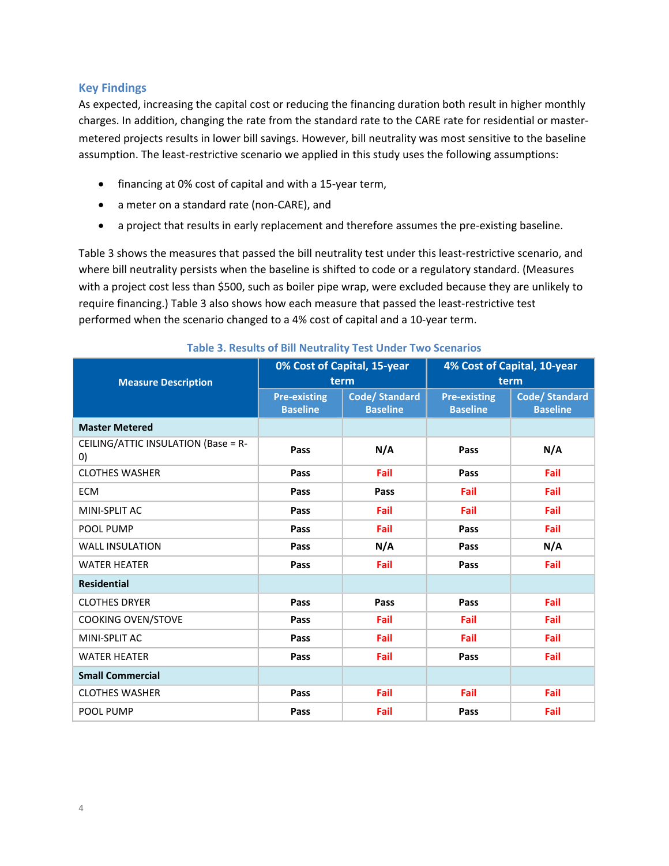#### **Key Findings**

As expected, increasing the capital cost or reducing the financing duration both result in higher monthly charges. In addition, changing the rate from the standard rate to the CARE rate for residential or mastermetered projects results in lower bill savings. However, bill neutrality was most sensitive to the baseline assumption. The least-restrictive scenario we applied in this study uses the following assumptions:

- financing at 0% cost of capital and with a 15-year term,
- a meter on a standard rate (non-CARE), and
- a project that results in early replacement and therefore assumes the pre-existing baseline.

Table 3 shows the measures that passed the bill neutrality test under this least-restrictive scenario, and where bill neutrality persists when the baseline is shifted to code or a regulatory standard. (Measures with a project cost less than \$500, such as boiler pipe wrap, were excluded because they are unlikely to require financing.) Table 3 also shows how each measure that passed the least-restrictive test performed when the scenario changed to a 4% cost of capital and a 10-year term.

|                                           | 0% Cost of Capital, 15-year<br>term    |                                         | 4% Cost of Capital, 10-year<br>term    |                                         |
|-------------------------------------------|----------------------------------------|-----------------------------------------|----------------------------------------|-----------------------------------------|
| <b>Measure Description</b>                |                                        |                                         |                                        |                                         |
|                                           | <b>Pre-existing</b><br><b>Baseline</b> | <b>Code/Standard</b><br><b>Baseline</b> | <b>Pre-existing</b><br><b>Baseline</b> | <b>Code/Standard</b><br><b>Baseline</b> |
| <b>Master Metered</b>                     |                                        |                                         |                                        |                                         |
| CEILING/ATTIC INSULATION (Base = R-<br>0) | Pass                                   | N/A                                     | Pass                                   | N/A                                     |
| <b>CLOTHES WASHER</b>                     | Pass                                   | Fail                                    | Pass                                   | Fail                                    |
| <b>ECM</b>                                | Pass                                   | Pass                                    | Fail                                   | Fail                                    |
| MINI-SPLIT AC                             | Pass                                   | Fail                                    | Fail                                   | Fail                                    |
| POOL PUMP                                 | Pass                                   | Fail                                    | Pass                                   | Fail                                    |
| <b>WALL INSULATION</b>                    | Pass                                   | N/A                                     | Pass                                   | N/A                                     |
| <b>WATER HEATER</b>                       | Pass                                   | Fail                                    | Pass                                   | Fail                                    |
| <b>Residential</b>                        |                                        |                                         |                                        |                                         |
| <b>CLOTHES DRYER</b>                      | Pass                                   | Pass                                    | Pass                                   | Fail                                    |
| <b>COOKING OVEN/STOVE</b>                 | Pass                                   | Fail                                    | Fail                                   | Fail                                    |
| MINI-SPLIT AC                             | Pass                                   | Fail                                    | Fail                                   | Fail                                    |
| <b>WATER HEATER</b>                       | Pass                                   | Fail                                    | Pass                                   | Fail                                    |
| <b>Small Commercial</b>                   |                                        |                                         |                                        |                                         |
| <b>CLOTHES WASHER</b>                     | Pass                                   | Fail                                    | Fail                                   | Fail                                    |
| POOL PUMP                                 | Pass                                   | Fail                                    | Pass                                   | Fail                                    |

#### **Table 3. Results of Bill Neutrality Test Under Two Scenarios**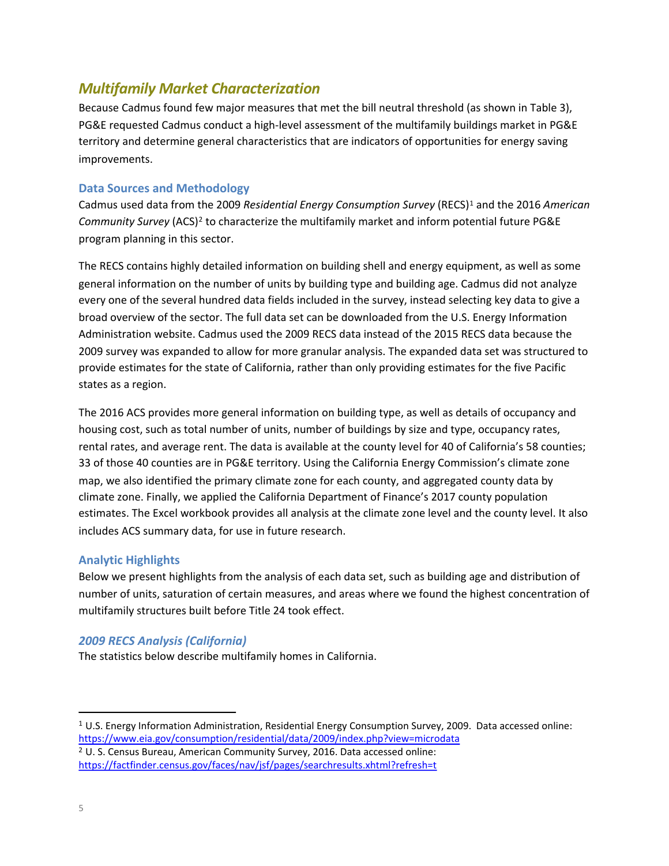# *Multifamily Market Characterization*

Because Cadmus found few major measures that met the bill neutral threshold (as shown in Table 3), PG&E requested Cadmus conduct a high-level assessment of the multifamily buildings market in PG&E territory and determine general characteristics that are indicators of opportunities for energy saving improvements.

#### **Data Sources and Methodology**

Cadmus used data from the 2009 *Residential Energy Consumption Survey* (RECS)<sup>1</sup> and the 2016 *American Community Survey* (ACS)<sup>2</sup> to characterize the multifamily market and inform potential future PG&E program planning in this sector.

The RECS contains highly detailed information on building shell and energy equipment, as well as some general information on the number of units by building type and building age. Cadmus did not analyze every one of the several hundred data fields included in the survey, instead selecting key data to give a broad overview of the sector. The full data set can be downloaded from the U.S. Energy Information Administration website. Cadmus used the 2009 RECS data instead of the 2015 RECS data because the 2009 survey was expanded to allow for more granular analysis. The expanded data set was structured to provide estimates for the state of California, rather than only providing estimates for the five Pacific states as a region.

The 2016 ACS provides more general information on building type, as well as details of occupancy and housing cost, such as total number of units, number of buildings by size and type, occupancy rates, rental rates, and average rent. The data is available at the county level for 40 of California's 58 counties; 33 of those 40 counties are in PG&E territory. Using the California Energy Commission's climate zone map, we also identified the primary climate zone for each county, and aggregated county data by climate zone. Finally, we applied the California Department of Finance's 2017 county population estimates. The Excel workbook provides all analysis at the climate zone level and the county level. It also includes ACS summary data, for use in future research.

## **Analytic Highlights**

Below we present highlights from the analysis of each data set, such as building age and distribution of number of units, saturation of certain measures, and areas where we found the highest concentration of multifamily structures built before Title 24 took effect.

## *2009 RECS Analysis (California)*

 

The statistics below describe multifamily homes in California.

 $1$  U.S. Energy Information Administration, Residential Energy Consumption Survey, 2009. Data accessed online:

https://www.eia.gov/consumption/residential/data/2009/index.php?view=microdata <sup>2</sup> U. S. Census Bureau, American Community Survey, 2016. Data accessed online:

https://factfinder.census.gov/faces/nav/jsf/pages/searchresults.xhtml?refresh=t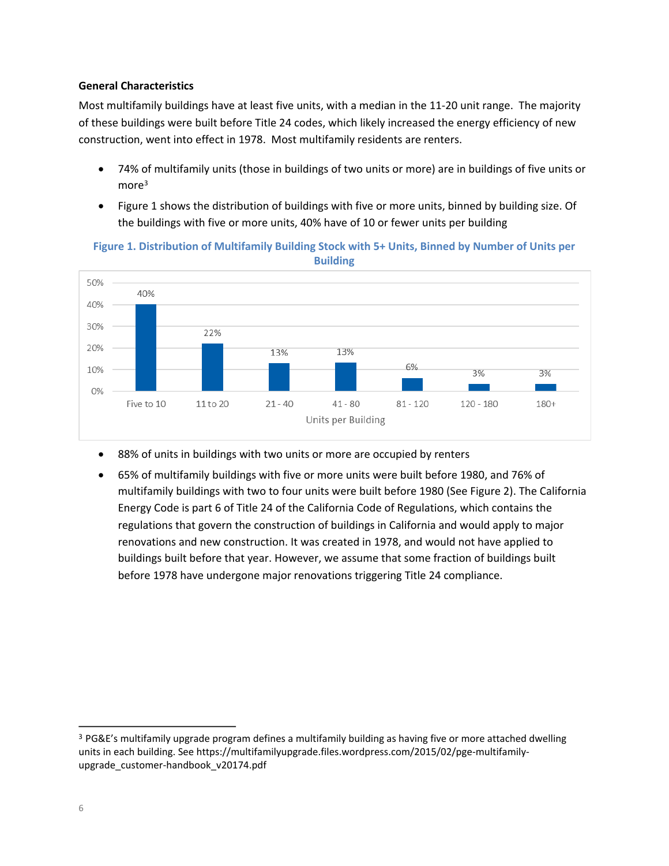#### **General Characteristics**

Most multifamily buildings have at least five units, with a median in the 11-20 unit range. The majority of these buildings were built before Title 24 codes, which likely increased the energy efficiency of new construction, went into effect in 1978. Most multifamily residents are renters.

- 74% of multifamily units (those in buildings of two units or more) are in buildings of five units or more<sup>3</sup>
- Figure 1 shows the distribution of buildings with five or more units, binned by building size. Of the buildings with five or more units, 40% have of 10 or fewer units per building

## Figure 1. Distribution of Multifamily Building Stock with 5+ Units, Binned by Number of Units per **Building**



- 88% of units in buildings with two units or more are occupied by renters
- 65% of multifamily buildings with five or more units were built before 1980, and 76% of multifamily buildings with two to four units were built before 1980 (See Figure 2). The California Energy Code is part 6 of Title 24 of the California Code of Regulations, which contains the regulations that govern the construction of buildings in California and would apply to major renovations and new construction. It was created in 1978, and would not have applied to buildings built before that year. However, we assume that some fraction of buildings built before 1978 have undergone major renovations triggering Title 24 compliance.

<u> 1989 - Jan Barat, martin amerikan basar dan bagi dan bagi dan bagi dalam bagi dan bagi dan bagi dan bagi dan</u>

<sup>&</sup>lt;sup>3</sup> PG&E's multifamily upgrade program defines a multifamily building as having five or more attached dwelling units in each building. See https://multifamilyupgrade.files.wordpress.com/2015/02/pge-multifamilyupgrade\_customer-handbook\_v20174.pdf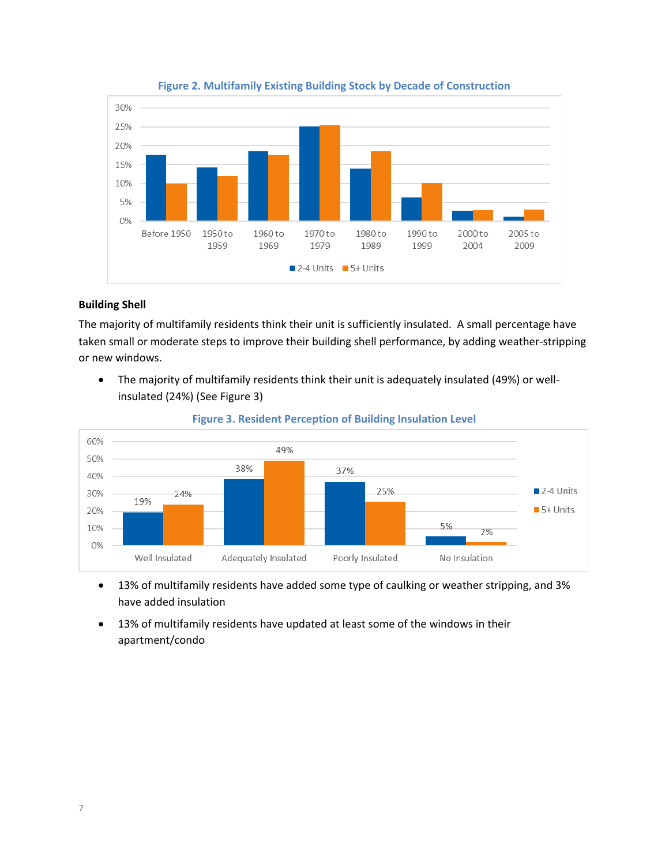

**Figure 2. Multifamily Existing Building Stock by Decade of Construction** 

#### **Building Shell**

The majority of multifamily residents think their unit is sufficiently insulated. A small percentage have taken small or moderate steps to improve their building shell performance, by adding weather-stripping or new windows.

• The majority of multifamily residents think their unit is adequately insulated (49%) or wellinsulated (24%) (See Figure 3)



#### **Figure 3. Resident Perception of Building Insulation Level**

- 13% of multifamily residents have added some type of caulking or weather stripping, and 3% have added insulation
- 13% of multifamily residents have updated at least some of the windows in their apartment/condo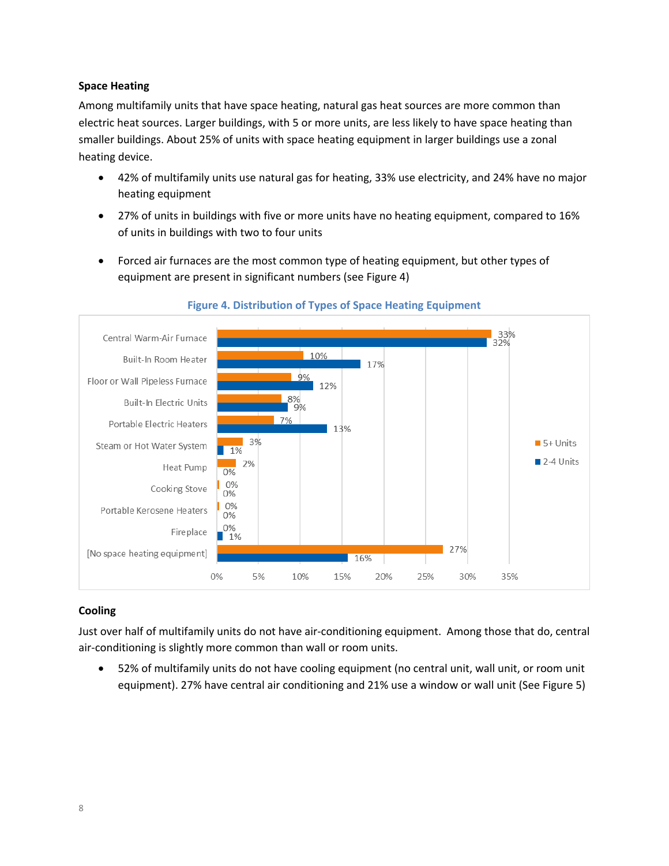#### **Space Heating**

Among multifamily units that have space heating, natural gas heat sources are more common than electric heat sources. Larger buildings, with 5 or more units, are less likely to have space heating than smaller buildings. About 25% of units with space heating equipment in larger buildings use a zonal heating device.

- 42% of multifamily units use natural gas for heating, 33% use electricity, and 24% have no major heating equipment
- 27% of units in buildings with five or more units have no heating equipment, compared to 16% of units in buildings with two to four units
- Forced air furnaces are the most common type of heating equipment, but other types of equipment are present in significant numbers (see Figure 4)



#### **Figure 4. Distribution of Types of Space Heating Equipment**

## **Cooling**

Just over half of multifamily units do not have air-conditioning equipment. Among those that do, central air-conditioning is slightly more common than wall or room units.

• 52% of multifamily units do not have cooling equipment (no central unit, wall unit, or room unit equipment). 27% have central air conditioning and 21% use a window or wall unit (See Figure 5)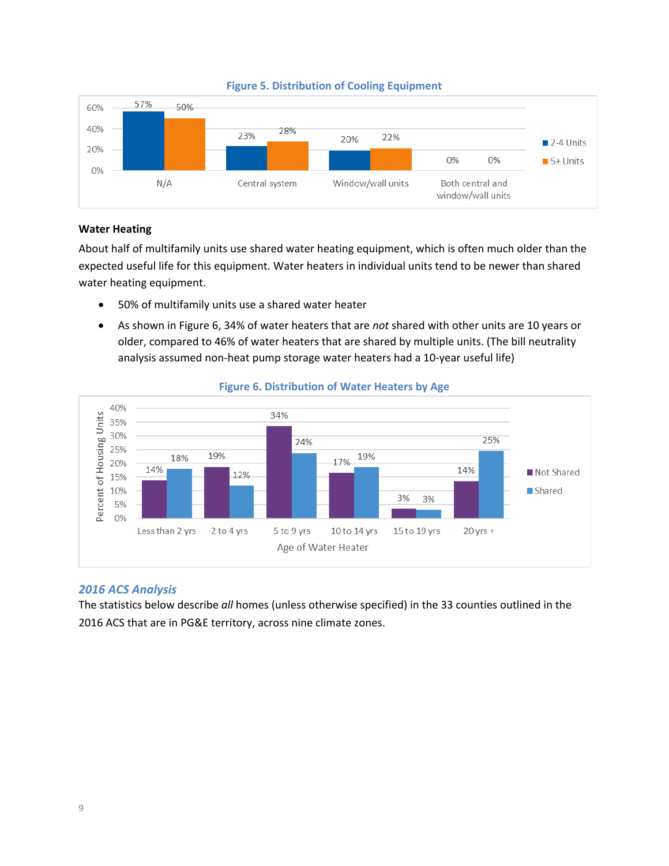

#### **Figure 5. Distribution of Cooling Equipment**

#### **Water Heating**

About half of multifamily units use shared water heating equipment, which is often much older than the expected useful life for this equipment. Water heaters in individual units tend to be newer than shared water heating equipment.

- 50% of multifamily units use a shared water heater
- As shown in Figure 6, 34% of water heaters that are *not* shared with other units are 10 years or older, compared to 46% of water heaters that are shared by multiple units. (The bill neutrality analysis assumed non-heat pump storage water heaters had a 10-year useful life)



#### **Figure 6. Distribution of Water Heaters by Age**

#### *2016 ACS Analysis*

The statistics below describe all homes (unless otherwise specified) in the 33 counties outlined in the 2016 ACS that are in PG&E territory, across nine climate zones.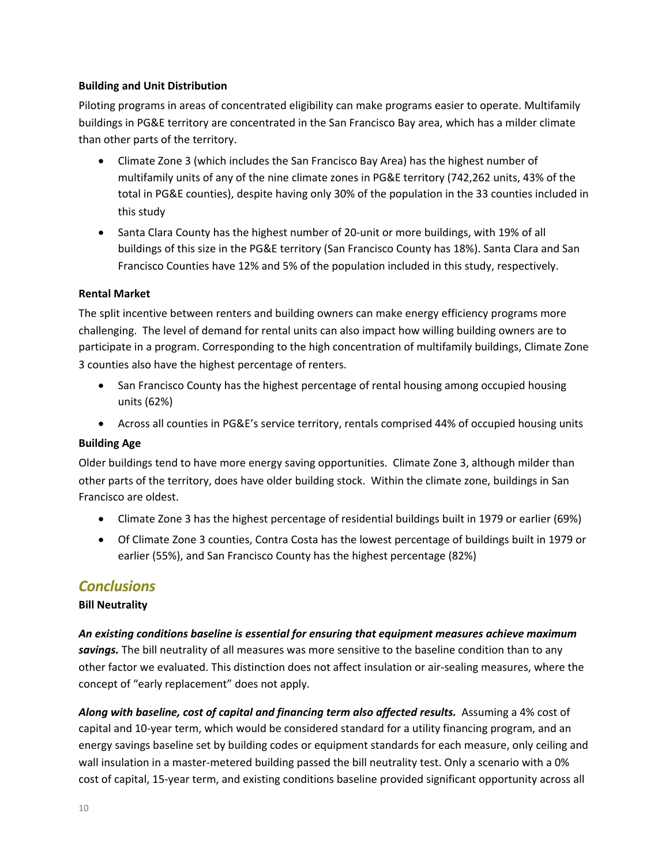#### **Building and Unit Distribution**

Piloting programs in areas of concentrated eligibility can make programs easier to operate. Multifamily buildings in PG&E territory are concentrated in the San Francisco Bay area, which has a milder climate than other parts of the territory.

- Climate Zone 3 (which includes the San Francisco Bay Area) has the highest number of multifamily units of any of the nine climate zones in PG&E territory (742,262 units, 43% of the total in PG&E counties), despite having only 30% of the population in the 33 counties included in this study
- Santa Clara County has the highest number of 20-unit or more buildings, with 19% of all buildings of this size in the PG&E territory (San Francisco County has 18%). Santa Clara and San Francisco Counties have 12% and 5% of the population included in this study, respectively.

#### **Rental Market**

The split incentive between renters and building owners can make energy efficiency programs more challenging. The level of demand for rental units can also impact how willing building owners are to participate in a program. Corresponding to the high concentration of multifamily buildings, Climate Zone 3 counties also have the highest percentage of renters.

- San Francisco County has the highest percentage of rental housing among occupied housing units (62%)
- Across all counties in PG&E's service territory, rentals comprised 44% of occupied housing units

## **Building Age**

Older buildings tend to have more energy saving opportunities. Climate Zone 3, although milder than other parts of the territory, does have older building stock. Within the climate zone, buildings in San Francisco are oldest.

- Climate Zone 3 has the highest percentage of residential buildings built in 1979 or earlier (69%)
- Of Climate Zone 3 counties, Contra Costa has the lowest percentage of buildings built in 1979 or earlier (55%), and San Francisco County has the highest percentage (82%)

## *Conclusions*

## **Bill Neutrality**

An existing conditions baseline is essential for ensuring that equipment measures achieve maximum savings. The bill neutrality of all measures was more sensitive to the baseline condition than to any other factor we evaluated. This distinction does not affect insulation or air-sealing measures, where the concept of "early replacement" does not apply.

Along with baseline, cost of capital and financing term also affected results. Assuming a 4% cost of capital and 10-year term, which would be considered standard for a utility financing program, and an energy savings baseline set by building codes or equipment standards for each measure, only ceiling and wall insulation in a master-metered building passed the bill neutrality test. Only a scenario with a 0% cost of capital, 15-year term, and existing conditions baseline provided significant opportunity across all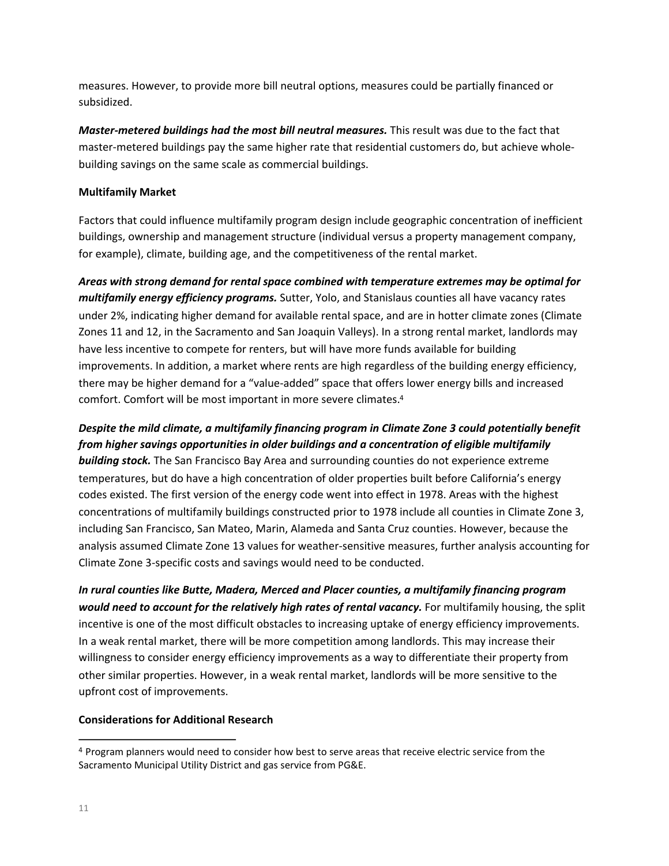measures. However, to provide more bill neutral options, measures could be partially financed or subsidized.

*Master-metered buildings had the most bill neutral measures.* **This result was due to the fact that** master-metered buildings pay the same higher rate that residential customers do, but achieve wholebuilding savings on the same scale as commercial buildings.

#### **Multifamily Market**

Factors that could influence multifamily program design include geographic concentration of inefficient buildings, ownership and management structure (individual versus a property management company, for example), climate, building age, and the competitiveness of the rental market.

Areas with strong demand for rental space combined with temperature extremes may be optimal for *multifamily energy efficiency programs.* Sutter, Yolo, and Stanislaus counties all have vacancy rates under 2%, indicating higher demand for available rental space, and are in hotter climate zones (Climate Zones 11 and 12, in the Sacramento and San Joaquin Valleys). In a strong rental market, landlords may have less incentive to compete for renters, but will have more funds available for building improvements. In addition, a market where rents are high regardless of the building energy efficiency, there may be higher demand for a "value-added" space that offers lower energy bills and increased comfort. Comfort will be most important in more severe climates.<sup>4</sup>

*Despite* the mild climate, a multifamily financing program in Climate Zone 3 could potentially benefit from higher savings opportunities in older buildings and a concentration of eligible multifamily **building stock.** The San Francisco Bay Area and surrounding counties do not experience extreme temperatures, but do have a high concentration of older properties built before California's energy codes existed. The first version of the energy code went into effect in 1978. Areas with the highest concentrations of multifamily buildings constructed prior to 1978 include all counties in Climate Zone 3, including San Francisco, San Mateo, Marin, Alameda and Santa Cruz counties. However, because the analysis assumed Climate Zone 13 values for weather-sensitive measures, further analysis accounting for Climate Zone 3-specific costs and savings would need to be conducted.

In rural counties like Butte, Madera, Merced and Placer counties, a multifamily financing program *would need to account for the relatively high rates of rental vacancy.* For multifamily housing, the split incentive is one of the most difficult obstacles to increasing uptake of energy efficiency improvements. In a weak rental market, there will be more competition among landlords. This may increase their willingness to consider energy efficiency improvements as a way to differentiate their property from other similar properties. However, in a weak rental market, landlords will be more sensitive to the upfront cost of improvements.

## **Considerations for Additional Research**

<sup>&</sup>lt;u> 1989 - Jan Barat, martin amerikan basar dan bagi dan bagi dan bagi dalam bagi dan bagi dan bagi dan bagi dan</u> <sup>4</sup> Program planners would need to consider how best to serve areas that receive electric service from the Sacramento Municipal Utility District and gas service from PG&E.